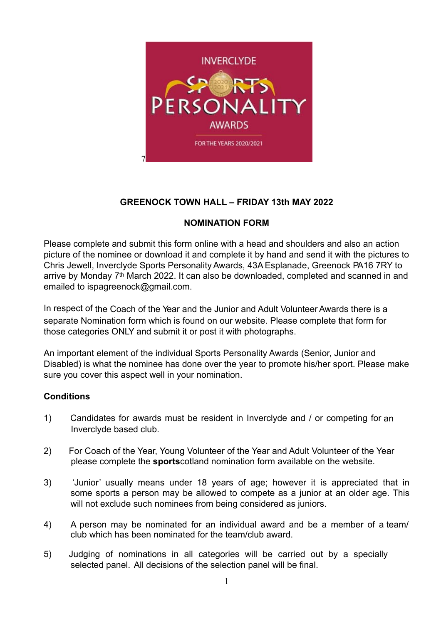

# **GREENOCK TOWN HALL – FRIDAY 13th MAY 2022**

## **NOMINATION FORM**

Please complete and submit this form online with a head and shoulders and also an action picture of the nominee or download it and complete it by hand and send it with the pictures to Chris Jewell, Inverclyde Sports Personality Awards, 43A Esplanade, Greenock PA16 7RY to arrive by Monday 7th March 2022. It can also be downloaded, completed and scanned in and emailed to ispagreenock@gmail.com.

In respect of the Coach of the Year and the Junior and Adult Volunteer Awards there is a separate Nomination form which is found on our website. Please complete that form for those categories ONLY and submit it or post it with photographs.

An important element of the individual Sports Personality Awards (Senior, Junior and Disabled) is what the nominee has done over the year to promote his/her sport. Please make sure you cover this aspect well in your nomination.

## **Conditions**

- 1) Candidates for awards must be resident in Inverclyde and / or competing for an Inverclyde based club.
- 2) For Coach of the Year, Young Volunteer of the Year and Adult Volunteer of the Year please complete the **sports**cotland nomination form available on the website.
- 3) 'Junior' usually means under 18 years of age; however it is appreciated that in some sports a person may be allowed to compete as a junior at an older age. This will not exclude such nominees from being considered as juniors.
- 4) A person may be nominated for an individual award and be a member of a team/ club which has been nominated for the team/club award.
- 5) Judging of nominations in all categories will be carried out by a specially selected panel. All decisions of the selection panel will be final.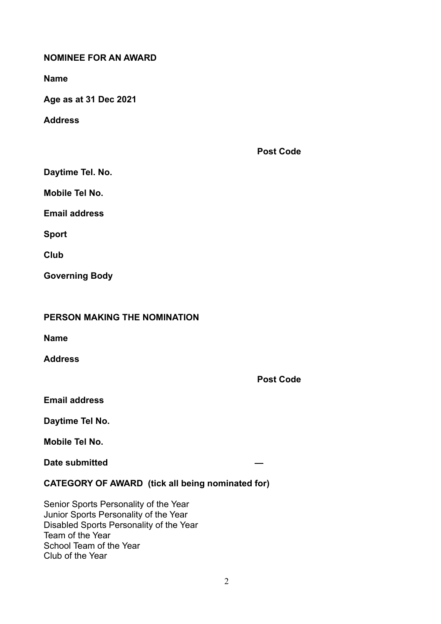### **NOMINEE FOR AN AWARD**

**Name** 

**Age as at 31 Dec 2021** 

**Address** 

**Post Code** 

**Daytime Tel. No.** 

**Mobile Tel No.** 

**Email address** 

**Sport** 

**Club** 

**Governing Body** 

| PERSON MAKING THE NOMINATION |  |  |  |
|------------------------------|--|--|--|
|------------------------------|--|--|--|

**Name** 

**Address** 

**Post Code** 

**Email address** 

**Daytime Tel No.** 

**Mobile Tel No.** 

**Date submitted** 

**CATEGORY OF AWARD (tick all being nominated for)** 

Senior Sports Personality of the Year Junior Sports Personality of the Year Disabled Sports Personality of the Year Team of the Year School Team of the Year Club of the Year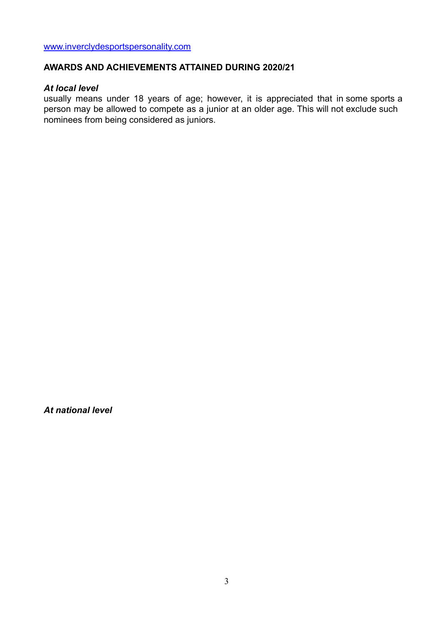[www.inverclydesportspersonality.com](http://www.inverclydesportspersonality.com)

#### **AWARDS AND ACHIEVEMENTS ATTAINED DURING 2020/21**

### *At local level*

usually means under 18 years of age; however, it is appreciated that in some sports a person may be allowed to compete as a junior at an older age. This will not exclude such nominees from being considered as juniors.

*At national level*